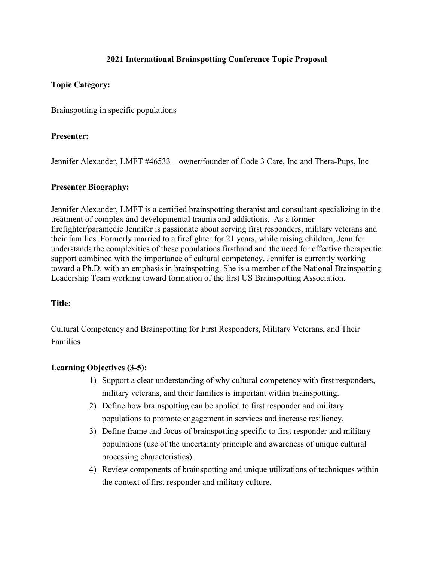# **2021 International Brainspotting Conference Topic Proposal**

## **Topic Category:**

Brainspotting in specific populations

## **Presenter:**

Jennifer Alexander, LMFT #46533 – owner/founder of Code 3 Care, Inc and Thera-Pups, Inc

### **Presenter Biography:**

Jennifer Alexander, LMFT is a certified brainspotting therapist and consultant specializing in the treatment of complex and developmental trauma and addictions. As a former firefighter/paramedic Jennifer is passionate about serving first responders, military veterans and their families. Formerly married to a firefighter for 21 years, while raising children, Jennifer understands the complexities of these populations firsthand and the need for effective therapeutic support combined with the importance of cultural competency. Jennifer is currently working toward a Ph.D. with an emphasis in brainspotting. She is a member of the National Brainspotting Leadership Team working toward formation of the first US Brainspotting Association.

## **Title:**

Cultural Competency and Brainspotting for First Responders, Military Veterans, and Their Families

## **Learning Objectives (3-5):**

- 1) Support a clear understanding of why cultural competency with first responders, military veterans, and their families is important within brainspotting.
- 2) Define how brainspotting can be applied to first responder and military populations to promote engagement in services and increase resiliency.
- 3) Define frame and focus of brainspotting specific to first responder and military populations (use of the uncertainty principle and awareness of unique cultural processing characteristics).
- 4) Review components of brainspotting and unique utilizations of techniques within the context of first responder and military culture.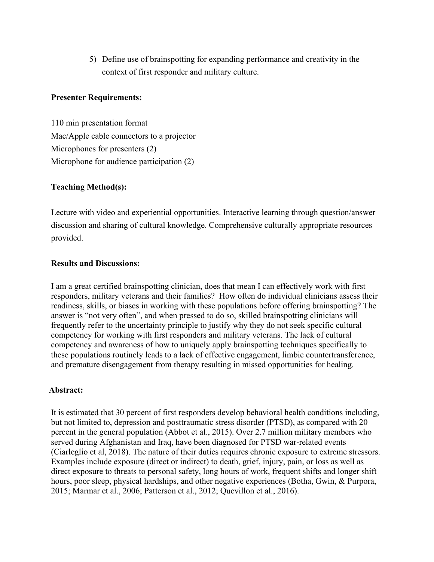5) Define use of brainspotting for expanding performance and creativity in the context of first responder and military culture.

### **Presenter Requirements:**

110 min presentation format Mac/Apple cable connectors to a projector Microphones for presenters (2) Microphone for audience participation (2)

### **Teaching Method(s):**

Lecture with video and experiential opportunities. Interactive learning through question/answer discussion and sharing of cultural knowledge. Comprehensive culturally appropriate resources provided.

### **Results and Discussions:**

I am a great certified brainspotting clinician, does that mean I can effectively work with first responders, military veterans and their families? How often do individual clinicians assess their readiness, skills, or biases in working with these populations before offering brainspotting? The answer is "not very often", and when pressed to do so, skilled brainspotting clinicians will frequently refer to the uncertainty principle to justify why they do not seek specific cultural competency for working with first responders and military veterans. The lack of cultural competency and awareness of how to uniquely apply brainspotting techniques specifically to these populations routinely leads to a lack of effective engagement, limbic countertransference, and premature disengagement from therapy resulting in missed opportunities for healing.

#### **Abstract:**

It is estimated that 30 percent of first responders develop behavioral health conditions including, but not limited to, depression and posttraumatic stress disorder (PTSD), as compared with 20 percent in the general population (Abbot et al., 2015). Over 2.7 million military members who served during Afghanistan and Iraq, have been diagnosed for PTSD war-related events (Ciarleglio et al, 2018). The nature of their duties requires chronic exposure to extreme stressors. Examples include exposure (direct or indirect) to death, grief, injury, pain, or loss as well as direct exposure to threats to personal safety, long hours of work, frequent shifts and longer shift hours, poor sleep, physical hardships, and other negative experiences (Botha, Gwin, & Purpora, 2015; Marmar et al., 2006; Patterson et al., 2012; Quevillon et al., 2016).